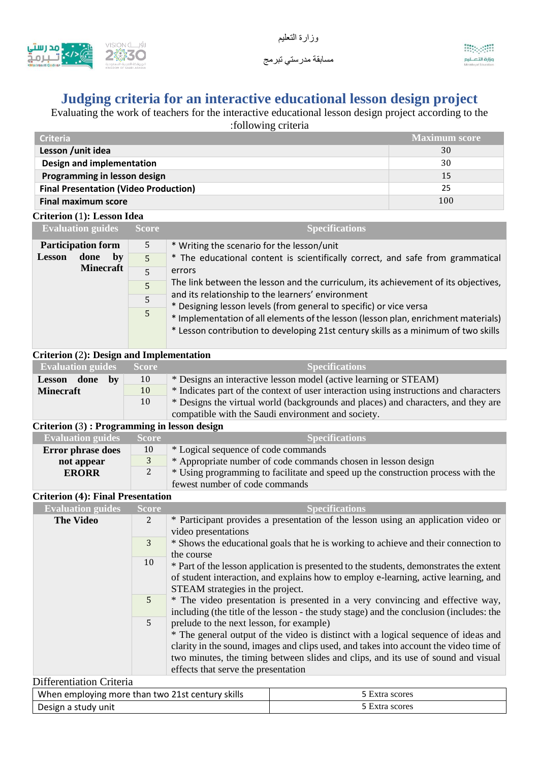

# **Judging criteria for an interactive educational lesson design project**

Evaluating the work of teachers for the interactive educational lesson design project according to the :following criteria

| <b>Criteria</b>                              | <b>Maximum score</b> |
|----------------------------------------------|----------------------|
| Lesson / unit idea                           | 30                   |
| Design and implementation                    | 30                   |
| Programming in lesson design                 | 15                   |
| <b>Final Presentation (Video Production)</b> | 25                   |
| <b>Final maximum score</b>                   | 100                  |

## **Criterion (**1**): Lesson Idea**

|               | <b>Evaluation guides</b>  | <b>Score</b>                                                                                                                                                                                                                                   | <b>Specifications</b>                                                              |  |  |
|---------------|---------------------------|------------------------------------------------------------------------------------------------------------------------------------------------------------------------------------------------------------------------------------------------|------------------------------------------------------------------------------------|--|--|
|               | <b>Participation form</b> | 5                                                                                                                                                                                                                                              | * Writing the scenario for the lesson/unit                                         |  |  |
| <b>Lesson</b> | done<br>by                | $\overline{5}$                                                                                                                                                                                                                                 | * The educational content is scientifically correct, and safe from grammatical     |  |  |
|               | <b>Minecraft</b>          | 5                                                                                                                                                                                                                                              | errors                                                                             |  |  |
|               |                           | 5                                                                                                                                                                                                                                              | The link between the lesson and the curriculum, its achievement of its objectives, |  |  |
|               |                           | 5                                                                                                                                                                                                                                              | and its relationship to the learners' environment                                  |  |  |
|               | 5                         | * Designing lesson levels (from general to specific) or vice versa<br>* Implementation of all elements of the lesson (lesson plan, enrichment materials)<br>* Lesson contribution to developing 21st century skills as a minimum of two skills |                                                                                    |  |  |

#### a ka **Criterion (**2**): Design and Implementation**

×.

| <b>Evaluation guides</b> Score |    | <b>Specifications</b>                                                                 |
|--------------------------------|----|---------------------------------------------------------------------------------------|
| Lesson done<br>hv              | 10 | * Designs an interactive lesson model (active learning or STEAM)                      |
| <b>Minecraft</b>               | 10 | * Indicates part of the context of user interaction using instructions and characters |
|                                | 10 | * Designs the virtual world (backgrounds and places) and characters, and they are     |
|                                |    | compatible with the Saudi environment and society.                                    |
|                                |    |                                                                                       |

### **Criterion (**3**) : Programming in lesson design**

| <b>Evaluation guides</b> | Score | Specifications                                                                   |
|--------------------------|-------|----------------------------------------------------------------------------------|
| <b>Error phrase does</b> | 10    | * Logical sequence of code commands                                              |
| not appear               |       | * Appropriate number of code commands chosen in lesson design                    |
| <b>ERORR</b>             | 2     | * Using programming to facilitate and speed up the construction process with the |
|                          |       | fewest number of code commands                                                   |

## **Criterion (4): Final Presentation**

| <b>Evaluation guides</b>        | <b>Score</b> | <b>Specifications</b>                                                                   |
|---------------------------------|--------------|-----------------------------------------------------------------------------------------|
| <b>The Video</b>                | 2            | * Participant provides a presentation of the lesson using an application video or       |
|                                 |              | video presentations                                                                     |
|                                 | 3            | * Shows the educational goals that he is working to achieve and their connection to     |
|                                 |              | the course                                                                              |
|                                 | 10           | * Part of the lesson application is presented to the students, demonstrates the extent  |
|                                 |              | of student interaction, and explains how to employ e-learning, active learning, and     |
|                                 |              | STEAM strategies in the project.                                                        |
|                                 | $5^{\circ}$  | * The video presentation is presented in a very convincing and effective way,           |
|                                 |              | including (the title of the lesson - the study stage) and the conclusion (includes: the |
|                                 | 5            | prelude to the next lesson, for example)                                                |
|                                 |              | * The general output of the video is distinct with a logical sequence of ideas and      |
|                                 |              | clarity in the sound, images and clips used, and takes into account the video time of   |
|                                 |              | two minutes, the timing between slides and clips, and its use of sound and visual       |
|                                 |              | effects that serve the presentation                                                     |
| <b>Differentiation Criteria</b> |              |                                                                                         |

| When employing more than two 21st century skills | 5 Extra scores |
|--------------------------------------------------|----------------|
| Design a study unit                              | 5 Extra scores |